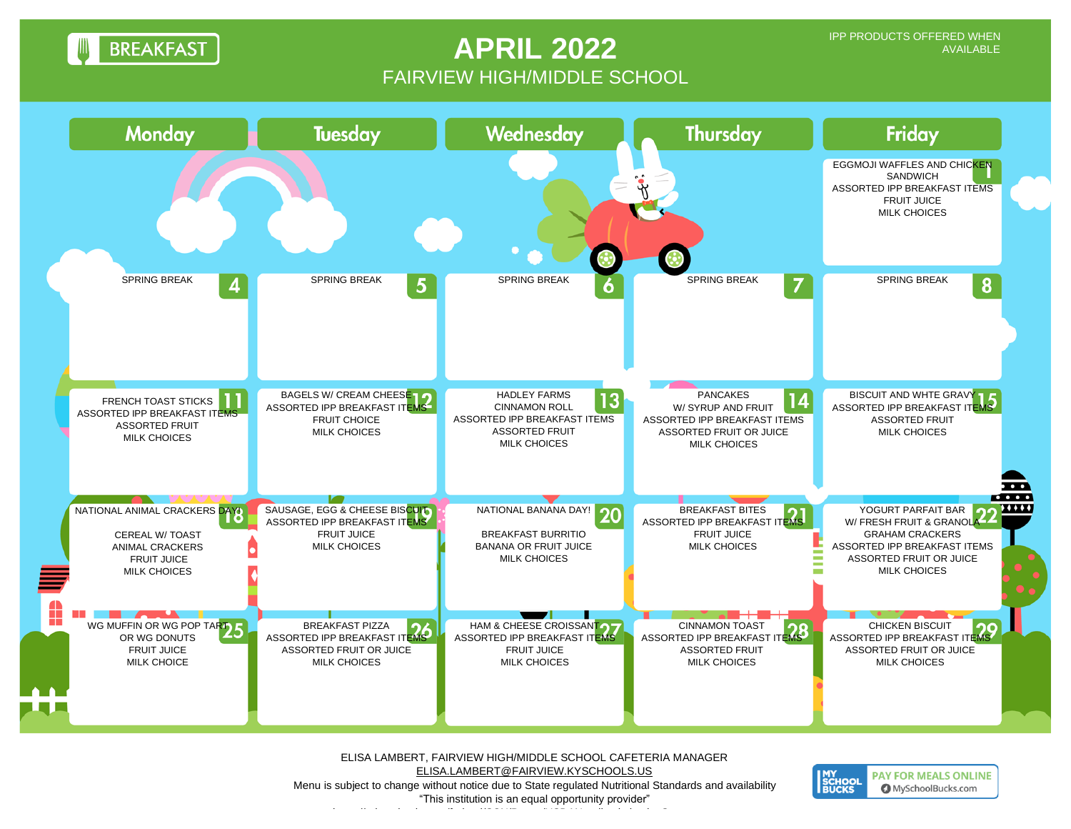**BREAKFAST** 

## **APRIL 2022** FAIRVIEW HIGH/MIDDLE SCHOOL



ELISA LAMBERT, FAIRVIEW HIGH/MIDDLE SCHOOL CAFETERIA MANAGER [ELISA.LAMBERT@FAIRVIEW.KYSCHOOLS.US](mailto:RHONDA.JOHNSON@FAIRVIEW.KYSCHOOLS.US) Menu is subject to change without notice due to State regulated Nutritional Standards and availability "This institution is an equal opportunity provider"

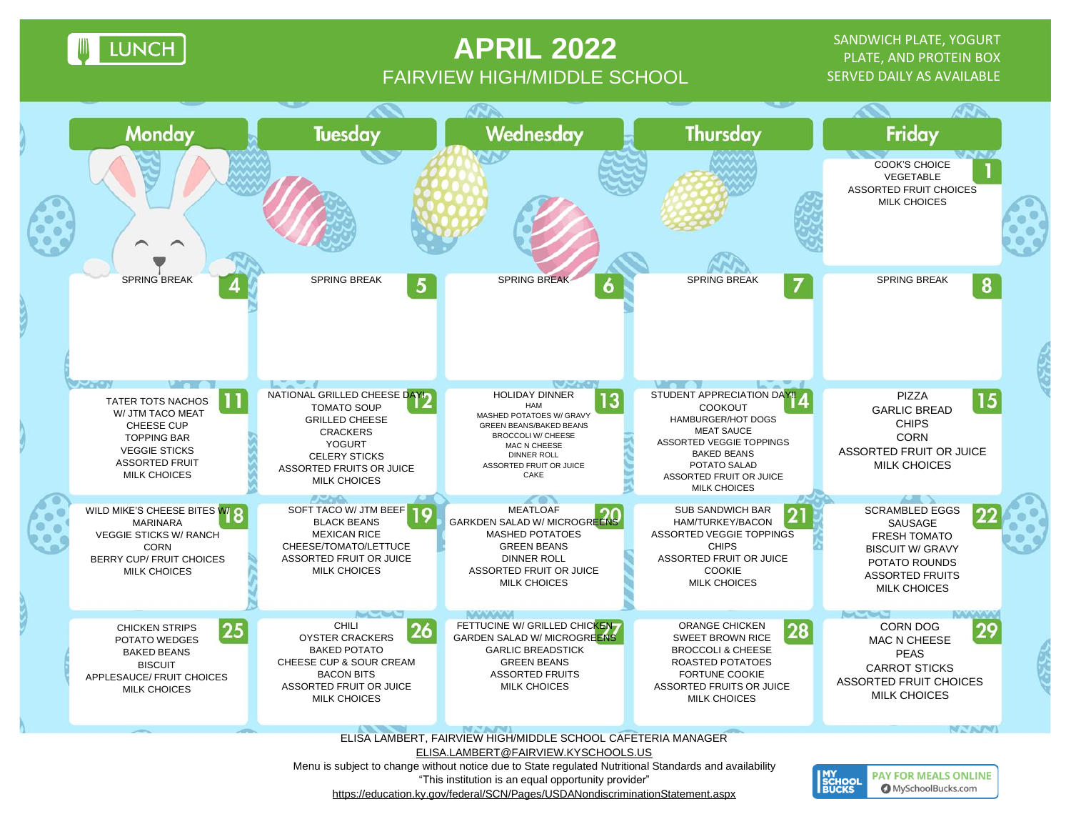**LUNCH** 

## **APRIL 2022** FAIRVIEW HIGH/MIDDLE SCHOOL

SANDWICH PLATE, YOGURT PLATE, AND PROTEIN BOX SERVED DAILY AS AVAILABLE